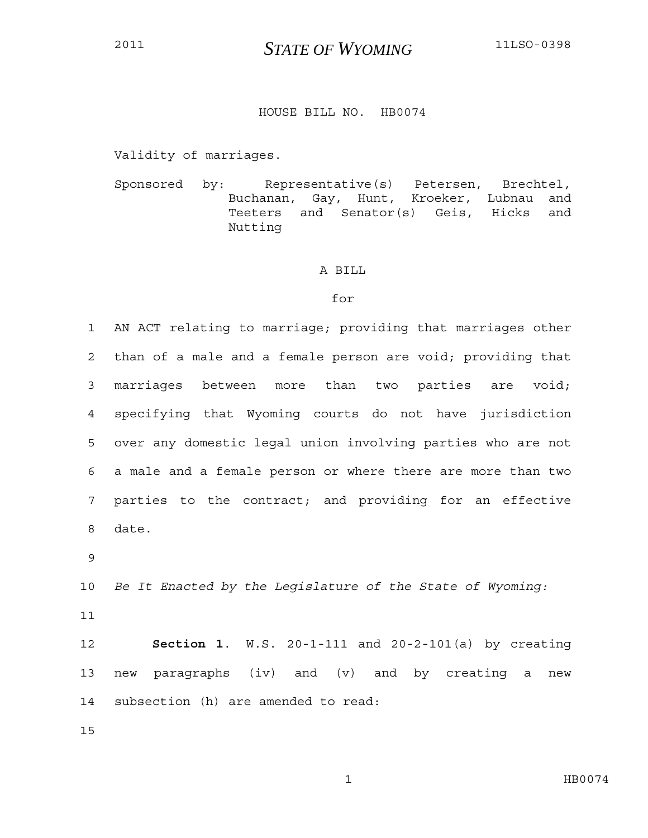## <sup>2011</sup>*STATE OF WYOMING* 11LSO-0398

## HOUSE BILL NO. HB0074

Validity of marriages.

Sponsored by: Representative(s) Petersen, Brechtel, Buchanan, Gay, Hunt, Kroeker, Lubnau and Teeters and Senator(s) Geis, Hicks and Nutting

## A BILL

## for

1 AN ACT relating to marriage; providing that marriages other 2 than of a male and a female person are void; providing that 3 marriages between more than two parties are void; 4 specifying that Wyoming courts do not have jurisdiction 5 over any domestic legal union involving parties who are not 6 a male and a female person or where there are more than two 7 parties to the contract; and providing for an effective 8 date.

9

10 *Be It Enacted by the Legislature of the State of Wyoming:*

11

12 **Section 1**. W.S. 20-1-111 and 20-2-101(a) by creating 13 new paragraphs (iv) and (v) and by creating a new 14 subsection (h) are amended to read:

15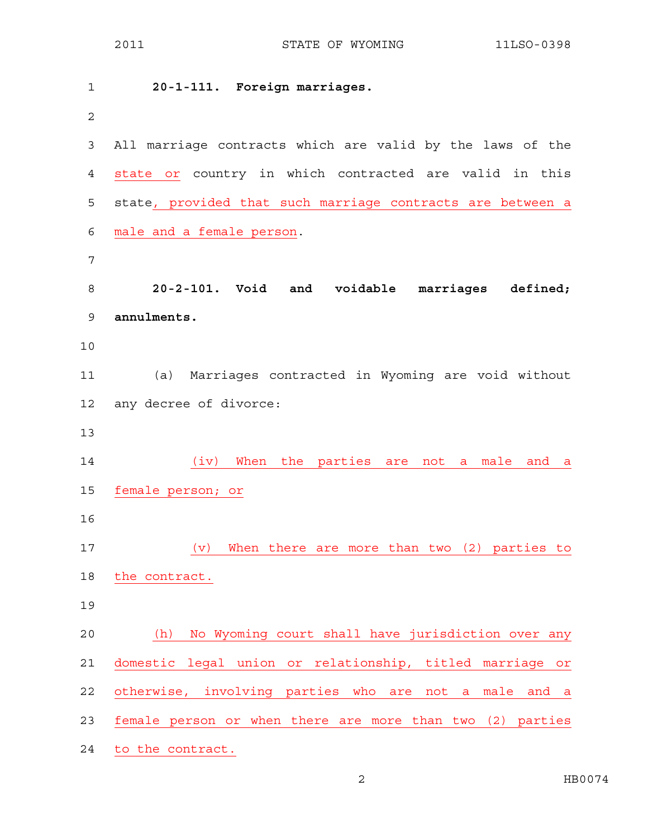| 1              | 20-1-111. Foreign marriages.                                 |
|----------------|--------------------------------------------------------------|
| $\overline{2}$ |                                                              |
| $\mathsf 3$    | All marriage contracts which are valid by the laws of the    |
| $\overline{4}$ | state or country in which contracted are valid in this       |
| 5              | state, provided that such marriage contracts are between a   |
| 6              | male and a female person.                                    |
| 7              |                                                              |
| 8              | 20-2-101. Void and voidable marriages defined;               |
| 9              | annulments.                                                  |
| 10             |                                                              |
| 11             | Marriages contracted in Wyoming are void without<br>(a)      |
| 12             | any decree of divorce:                                       |
| 13             |                                                              |
| 14             | When the parties are<br>(iv)<br>a male<br>not<br>and<br>a    |
| 15             | female person; or                                            |
| 16             |                                                              |
| 17             | When there are more than two (2) parties to<br>(v)           |
| 18             | the contract.                                                |
| 19             |                                                              |
| 20             | No Wyoming court shall have jurisdiction over any<br>(h)     |
| 21             | domestic legal union or relationship, titled marriage or     |
| 22             | otherwise, involving parties who are<br>not a male<br>and a  |
| 23             | female person or when there are more than two (2)<br>parties |
| 24             | to the contract.                                             |